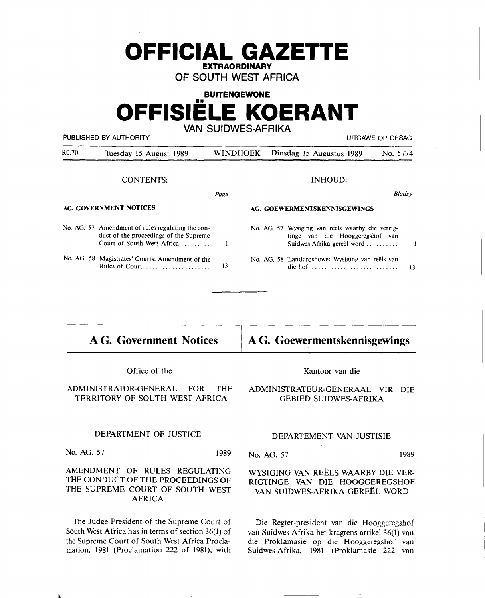## **OFFICIAL GAZETTE EXTRAORDINARY**

**OF SOUTH WEST AFRICA** 

## **BUITENGEWONE OFFISIELE KOERANT VAN SUIDWES-AFRIKA**

PUBLISHED BY AUTHORITY **EXECUTE A SECURE 2018** UITGAWE OP GESAG

| R <sub>0.70</sub>      | Tuesday 15 August 1989                                                                                                    |                              |  | WINDHOEK Dinsdag 15 Augustus 1989                                                                                                   | No. 5774 |               |
|------------------------|---------------------------------------------------------------------------------------------------------------------------|------------------------------|--|-------------------------------------------------------------------------------------------------------------------------------------|----------|---------------|
| <b>CONTENTS:</b>       |                                                                                                                           |                              |  | INHOUD:                                                                                                                             |          |               |
|                        |                                                                                                                           | Page                         |  |                                                                                                                                     |          | <b>Bladsy</b> |
| AG. GOVERNMENT NOTICES |                                                                                                                           | AG. GOEWERMENTSKENNISGEWINGS |  |                                                                                                                                     |          |               |
|                        | No. AG. 57 Amendment of rules regulating the con-<br>duct of the proceedings of the Supreme<br>Court of South West Africa |                              |  | No. AG. 57 Wysiging van reëls waarby die verrig-<br>tinge van die Hooggeregshof van<br>Suidwes-Afrika gereël word $\dots\dots\dots$ |          |               |
|                        | No. AG. 58 Magistrates' Courts: Amendment of the<br>Rules of Court                                                        | 13                           |  | No. AG. 58 Landdroshowe: Wysiging van reëls van<br>die hof $\dots\dots\dots\dots\dots\dots\dots\dots\dots\dots\dots$                |          | 13            |

| <b>AG. Government Notices</b> | $\vert$ A G. Goewermentskennisgewings |
|-------------------------------|---------------------------------------|
|-------------------------------|---------------------------------------|

Office of the

ADMINISTRATOR-GENERAL FOR THE TERRITORY OF SOUTH WEST AFRICA

# Kantoor van die

## **ADMINISTRATEUR-GENERAAL VIR DIE**  GEBIED SUIDWES-AFRIKA

#### DEPARTMENT OF JUSTICE

No. AG. 57 1989

## AMENDMENT OF RULES REGULATING THE CONDUCT OF THE PROCEEDINGS OF THE SUPREME COURT OF SOUTH WEST AFRICA

The Judge President of the Supreme Court of South West Africa has in terms of section 36(1) of the Supreme Court of South West Africa Proclamation, 1981 (Proclamation 222 of 1981), with

L

## DEPARTEMENT VAN JUSTISIE

No. AG. 57 1989

## WYSIGING VAN REELS WAARBY DIE VER-RIGTINGE VAN DIE HOOGGEREGSHOF VAN SUIDWES-AFRIKA GEREEL WORD

Die Regter-president van die Hooggeregshof van Suidwes-Afrika het kragtens artikel 36(1) van die Proklamasie op die Hooggeregshof van Suidwes-Afrika, 1981 (Proklamasie 222 van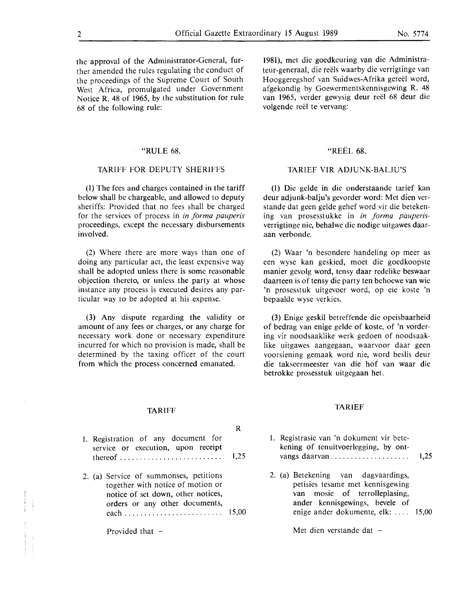#### "RULE 68.

#### **TARIFF FOR DEPUTY SHERIFFS**

(1) The fees and charges contained in the tariff below shall be chargeable, and allowed to deputy sheriffs: Provided that no fees shall be charged for the services of process in *in forma pauperis* proceedings, except the necessary disbursements involved.

(2) Where there are more ways than one of doing any particular act, the least expensive way shall be adopted unless there is some reasonable objection thereto, or unless the party at whose instance any process is executed desires any particular way to be adopted at his expense.

(3) Any dispute regarding the validity or amount of any fees or charges, or any charge for necessary work done or necessary expenditure incurred for which no provision is made, shall be determined by the taxing officer of the court from which the process concerned emanated.

## 1981), met die goedkeuring van die Administrateur-generaal, die reëls waarby die verrigtinge van Hooggeregshof van Suidwes-Afrika gereel word, af gekondig by Goewermentskennisgewing **R. 48**  van 1965, verder gewysig deur reël 68 deur die volgende reël te vervang:

## "REEL 68.

## **TARIEF VIR ADJUNK-BALJU'S**

(I) Die gelde in die onderstaande tarief kan deur adjunk-balju's gevorder word: Met dien verstande dat geen gelde gehef word vir die betekening van prosesstukke in *in forma pauperis*verrigtinge nie, behalwe die nodige uitgawes daaraan verbonde.

(2) Waar 'n besondere handeling op meer as een wyse kan geskied, moet die goedkoopste manier gevolg word, tensy daar redelike beswaar daarteen is of tensy die party ten behoewe van wie 'n prosesstuk uitgevoer word, op eie koste 'n bepaalde wyse verkies.

(3) Enige geskil betreffende die opeisbaarheid of bedrag van enige gelde of koste, of 'n vordering vir noodsaaklike werk gedoen of noodsaaklike uitgawes aangegaan, waarvoor daar geen voorsiening gemaak word nie, word beslis deur die takseermeester van die hof van waar die betrokke prosesstuk uitgegaan het.

#### TARIEF

#### **R**

1. Registration of any document for service or execution, upon receipt thereof . . . . . . . . . . . . . . . . . . . . . . . . . . 1,25

TARIFF

2. (a) Service of summonses, petitions together with notice of motion or notice of set down, other notices, orders or any other documents, each......................... **15,00** 

Provided that  $-$ 

I. Registrasie van 'n dokument vir betekening of tenuitvoerlegging, by ontvangs daarvan.......... . . . . . . . . . . 1,25

2. (a) Betekening van dagvaardings, petisies tesame met kennisgewing van mosie of terrolleplasing, ander kennisgewings, bevele of enige ander dokumente, elk: . . . . 15,00

Met dien verstande dat  $-$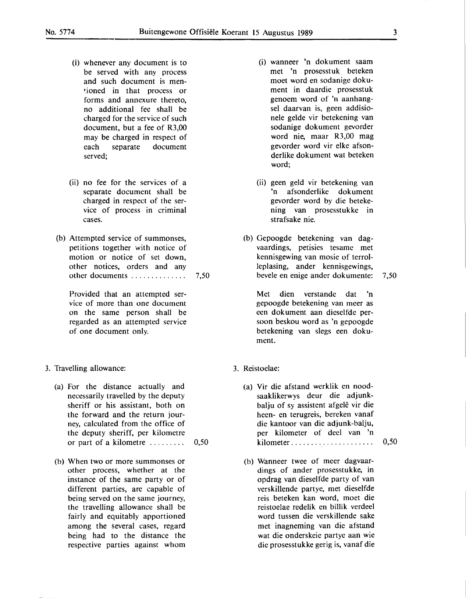- (i) whenever any document is to be served with any process and such document is mentioned in that process or forms and annexure thereto, no additional fee shall be charged for the service of such document, but a fee of R3,00 may be charged in respect of each separate document served;
- (ii) no fee for the services of a separate document shall be charged in respect of the service of process in criminal cases.
- (b) Attempted service of summonses, petitions together with notice of motion or notice of set down, other notices, orders and any other documents . . . . . . . . . . . . . . 7 ,50

Provided that an attempted service of more than one document on the same person shall be regarded as an attempted service of one document only.

- 3. Travelling allowance:
	- (a) For the distance actually and necessarily travelled by the deputy sheriff or his assistant, both on the forward and the return journey, calculated from the office of the deputy sheriff, per kilometre or part of a kilometre  $\dots \dots \dots \dots$  0,50
	- (b) When two or more summonses or other process, whether at the instance of the same party or of different parties, are capable of being served on the same journey, the travelling allowance shall be fairly and equitably apportioned among the several cases, regard being had to the distance the respective parties against whom
- (i) wanneer 'n dokument saam met 'n prosesstuk beteken moet word en sodanige dokument in daardie prosesstuk genoem word of 'n aanhangsel daarvan is, geen addisionele gelde vir betekening van sodanige dokument gevorder word nie, maar R3,00 mag gevorder word vir elke afsonderlike dokument wat beteken word;
- (ii) geen geld vir betekening van 'n afsonderlike dokument gevorder word by die betekening van prosesstukke in strafsake nie.
- (b) Gepoogde betekening van dagvaardings, petisies tesame met kennisgewing van mosie of terrolleplasing, ander kennisgewings, bevele en enige ander dokumente: 7,50

Met dien verstande dat 'n gepoogde betekening van meer as een dokument aan dieselfde persoon beskou word as 'n gepoogde betekening van slegs een dokument.

- 3. Reistoelae:
	- (a) Vir die afstand werklik en noodsaaklikerwys deur die adjunkbalju of sy assistent afgelê vir die been- en terugreis, bereken vanaf die kantoor van die adjunk-balju, per kilometer of deel van 'n kilometer . . . . . . . . . . . . . . . . . . . . . 0,50
	- (b) Wanneer twee of meer dagvaardings of ander prosesstukke, in opdrag van dieselfde party of van verskillende partye, met dieselfde reis beteken kan word, moet die reistoelae redelik en billik verdeel word tussen die verskillende sake met inagneming van die afstand wat die onderskeie partye aan wie die prosesstukke gerig is, vanaf die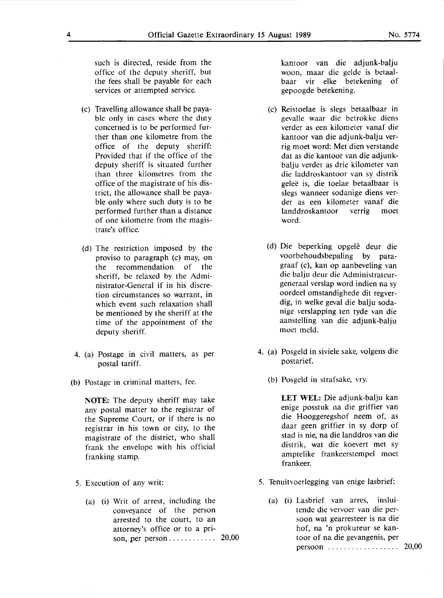such is directed, reside from the office of the deputy sheriff, but the fees shall be payable for each services or attempted service.

- (c) Travelling allowance shall be payable only in cases where the duty concerned is to be performed further than one kilometre from the office of the deputy sheriff: Provided that if the office of the deputy sheriff is situated further than three kilometres from the office of the magistrate of his district, the allowance shall be payable only where such duty is to be performed further than a distance of one kilometre from the magistrate's office.
- (d) The restriction imposed by the proviso to paragraph (c) may, on the recommendation of the sheriff, be relaxed by the Administrator-General if in his discretion circumstances so warrant, in which event such relaxation shall be mentioned by the sheriff at the time of the appointment of the deputy sheriff.
- 4. (a) Postage in civil matters, as per postal tariff.
- (b) Postage in criminal matters, fee.

**NOTE:** The deputy sheriff may take any postal matter to the registrar of the Supreme Court, or if there is no registrar in his town or city, to the magistrate of the district, who shall frank the envelope with his official franking stamp.

- *5.* Execution of any writ:
	- (a) (i) Writ of arrest, including the conveyance of the person arrested to the court, to an attorney's office or to a prison, per person . . . . . . . . . . . . 20,00

kantoor van die adjunk-balju woon, maar die gelde is betaalbaar vir elke betekening of gepoogde betekening.

- (c) Reistoelae is slegs betaalbaar in gevalle waar die betrokke diens verder as een kilometer vanaf die kantoor van die adjunk-balju verrig moet word: Met dien verstande dat as die kantoor van die adjunkbalju verder as drie kilometer van die laddroskantoor van sy distrik gelee is, die toelae betaalbaar is slegs wanneer sodanige diens verder as een kilometer vanaf die landdroskantoor verrig moet word.
- (d) Die beperking opgele deur die voorbehoudsbepaling by paragraaf (c), kan op aanbeveling van die balju deur die Administrateurgeneraal verslap word indien na sy oordeel omstandighede dit regverdig, in welke geval die balju sodanige verslapping ten tyde van die aanstelling van die adjunk-balju moet meld.
- 4. (a) Posgeld in siviele sake, volgens die postarief.
	- (b) Posgeld in strafsake, vry.

**LET WEL:** Die adjunk-balju kan enige posstuk na die griffier van die Hooggeregshof neem of, as daar geen griffier in sy dorp of stad is nie, na die landdros van die distrik, wat die koevert met sy amptelike frankeerstempel moet frankeer.

- 5. Tenuitvoerlegging van enige lasbrief:
	- (a) (i) Lasbrief van arres, insluitende die vervoer van die persoon wat gearresteer is na die hof, na 'n prokureur se kantoor of na die gevangenis, per persoon . . . . . . . . . . . . . . . . . . 20,00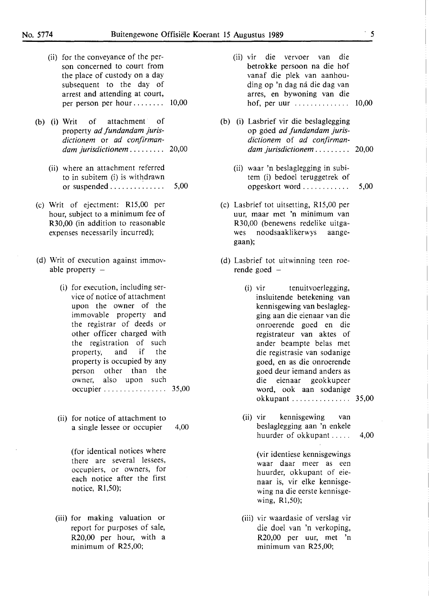| (ii) for the conveyance of the per- |  |  |  |
|-------------------------------------|--|--|--|
| son concerned to court from         |  |  |  |
| the place of custody on a day       |  |  |  |
| subsequent to the day of            |  |  |  |
| arrest and attending at court,      |  |  |  |
| per person per hour $10,00$         |  |  |  |

- (b) (i) Writ of attachment of property *ad Jundandam jurisdictionem* or *ad confirmandam jurisdictionem* . . . . . . . . . 20,00
	- (ii) where an attachment referred to in subitem (i) is withdrawn or suspended  $\ldots$  . . . . . . . . . . . . 5,00
- (c) Writ of ejectment: Rl5,00 per hour, subject to a minimum fee of R30,00 (in addition to reasonable expenses necessarily incurred);
- (d) Writ of execution against immovable property  $-$ 
	- (i) for execution, including service of notice of attachment upon the owner of the immovable property and the registrar of deeds or other officer charged with the registration of such property, and if the property is occupied by any person other than the owner, also upon such occupier . . . . . . . . . . . . . . . . 35,00
	- (ii) for notice of attachment to a single lessee or occupier 4,00

(for identical notices where there are several lessees, occupiers, or owners, for each notice after the first notice,  $R1,50$ ;

(iii) for making valuation or report for purposes of sale, R20,00 per hour, with a minimum of R25,00;

- (ii) vir die vervoer van die betrokke persoon na die hof vanaf die plek van aanhouding op 'n dag ná die dag van arres, en bywoning van die hof, per uur . . . . . . . . . . . . . . 10,00
- (b) (i) Lasbrief vir die beslaglegging op gded *ad Jundandam jurisdictionem* of *ad confirmandam jurisdictionem* . . . . . . . . . 20,00
	- (ii) waar 'n beslaglegging in subitem (i) bedoel teruggetrek of opgeskort word . . . . . . . . . . . . 5,00
- (c) Lasbrief tot uitsetting, Rl5,00 per uur, maar met 'n minimum van R30,00 (benewens redelike uitga-<br>wes noodsaaklikerwys aangewes noodsaaklikerwys gaan);
- (d) Lasbrief tot uitwinning teen roerende goed
	- (i) vir tenuitvoerlegging, insluitende betekening van kennisgewing van beslaglegging aan die eienaar van die onroerende goed en die registrateur van aktes of ander beampte belas met die registrasie van sodanige goed, en as die onroerende goed deur iemand anders as die eienaar geokkupeer word, ook aan sodanige okkupant . . . . . . . . . . . . . . . 35,00
	- (ii) vir kennisgewing van beslaglegging aan 'n enkele huurder of okkupant . . . . . 4,00

(vir identiese kennisgewings waar daar meer as een huurder, okkupant of eienaar is, vir elke kennisgewing na die eerste kennisgewing, Rl,50);

(iii) vir waardasie of verslag vir die doel van 'n verkoping, R20,00 per uur, met 'n minimum van R25,00;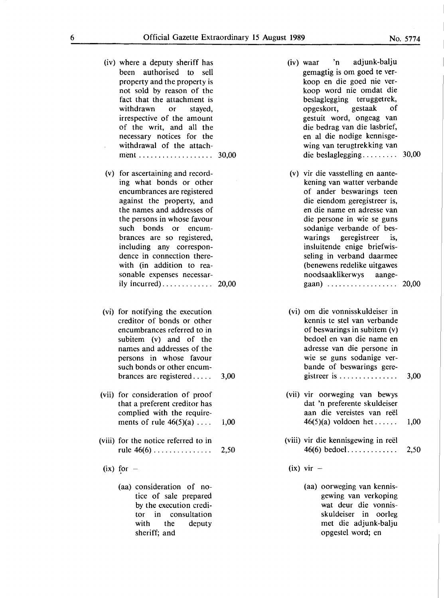- (iv) where a deputy sheriff has been authorised to sell property and the property is not sold by reason of the fact that the attachment is withdrawn or stayed, irrespective of the amount of the writ, and all the necessary notices for the withdrawal of the attachment ................... 30,00
- (v) for ascertaining and recording what bonds or other encumbrances are registered against the property, and the names and addresses of the persons in whose favour such bonds or encumbrances are so registered, including any correspondence in connection therewith (in addition to reasonable expenses necessarily incurred). . . . . . . . . . . . . 20,00
- (vi) for notifying the execution creditor of bonds or other encumbrances referred to in subitem (v) and of the names and addresses of the persons in whose favour such bonds or other encumbrances are registered . . . . . 3,00
- (vii) for consideration of proof that a preferent creditor has complied with the requirements of rule  $46(5)(a) \ldots$  1,00
- (viii) for the notice referred to in rule 46(6) . . . . . . . . . . . . . . . 2,50
- $(ix)$  for  $-$ 
	- (aa) consideration of notice of sale prepared by the execution creditor in consultation with the deputy sheriff; and
- (iv) waar 'n adjunk-balju gemagtig is om goed te verkoop en die goed nie verkoop word nie omdat die beslaglegging teruggetrek, opgeskort, gestaak of gestuit word, ongeag van die bedrag van die lasbrief, en al die nodige kennisgewing van terugtrekking van die beslaglegging. . . . . . . . . 30,00
- (v) vir die vasstelling en aantekening van watter verbande of ander beswarings teen die eiendom geregistreer is, en die name en adresse van die persone in wie se guns sodanige verbande of beswarings geregistreer is, insluitende enige briefwisseling in verband daarmee (benewens redelike uitgawes noodsaaklikerwys aangegaan) . . . . . . . . . . . . . . . . . . 20,00
- (vi) om die vonnisskuldeiser in kennis te stel van verbande of beswarings in subitem (v) bedoel en van die name en adresse van die persone in wie se guns sodanige verbande of beswarings geregistreer is  $\dots \dots \dots \dots$  3,00
- (vii) vir oorweging van bewys dat 'n preferente skuldeiser aan die vereistes van reel 46(5)(a) voldoen het......  $1,00$
- (viii) vir die kennisgewing in reel 46(6) bedoel. . . . . . . . . . . . . 2,50
- $(ix)$  vir  $-$ 
	- (aa) oorweging van kennisgewing van verkoping wat deur die vonnisskuldeiser in oorleg met die adjunk-balju opgestel word; en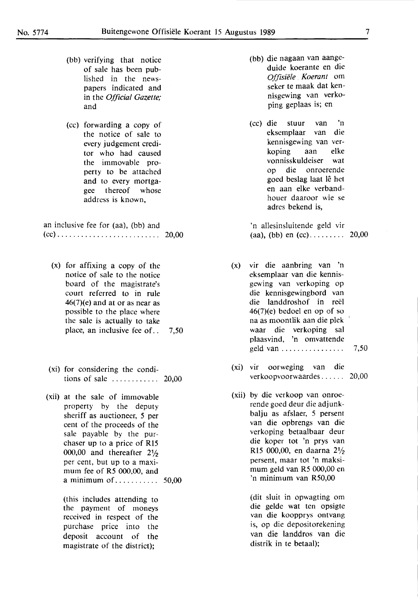- (bb) verifying that notice of sale has been published in the newspapers indicated and in the *Official Gazette;*  and
- (cc) forwarding a copy of the notice of sale to every judgement creditor who had caused the immovable property to be attached and to every mortgagee thereof whose address is known,

an inclusive fee for (aa), (bb) and (cc) .......................... 20,00

- (x) for affixing a copy of the notice of sale to the notice board of the magistrate's court referred to in rule  $46(7)$ (e) and at or as near as possible to the place where the sale is actually to take place, an inclusive fee of.. 7.50
- (xi) for considering the conditions of sale . . . . . . . . . . . . 20,00
- (xii) at the sale of immovable property by the deputy sheriff as auctioneer, 5 per cent of the proceeds of the sale payable by the purchaser up to a price of R15 000,00 and thereafter 2½ per cent, but up to a maximum fee of R5 000,00, and a minimum of. . . . . . . . . . . 50,00

(this includes attending to the payment of moneys received in respect of the purchase price into the deposit account of the magistrate of the district);

- (bb) die nagaan van aangeduide koerante en die *Offzsiele* . *Koerant* om seker te maak dat kennisgewing van verkoping geplaas is; en
- (cc) die stuur van 'n eksemplaar van die kennisgewing van verkoping aan elke vonnisskuldeiser wat op die onroerende goed beslag laat le het en aan elke verbandhouer daaroor wie se adres bekend is,

'n allesinsluitende geld vir (aa), (bb) en  $(cc)$ ............... 20,00

- (x) vir die aanbring van 'n eksemplaar van die kennisgewing van verkoping op die kennisgewingbord van die landdroshof in reel 46(7)(e) bedoel en op of so na as moontlik aan die plek ' waar die verkoping sal plaasvind, 'n omvattende geld van . . . . . . . . . . . . . . . . 7 ,50
- (xi) vir oorweging van die verkoopvoorwaardes ...... 20,00
- (xii) by die verkoop van onroerende goed deur die adjunkbalju as afslaer, 5 persent van die opbrengs van die verkoping betaalbaar deur die koper tot 'n prys van Rl5 000,00, en daarna 2½ persent, maar tot 'n maksimum geld van R5 000,00 en 'n minimum van R50,00

(dit sluit in opwagting om die gelde wat ten opsigte van die koopprys ontvang is, op die depositorekening van die landdros van die distrik in te betaal);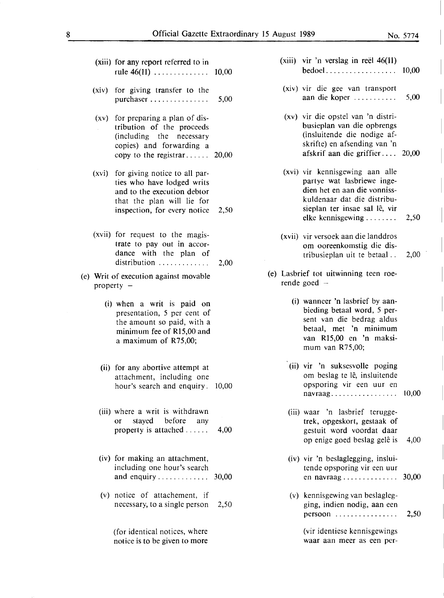(xiii) for any report referred to in rule 46(11) . . . . . . . . . . . . . . 10,00

- (xiv) for giving transfer to the purchaser . . . . . . . . . . . . . . . 5,00
- (xv) for preparing a plan of distribution of the proceeds (including the necessary copies) and forwarding a copy to the registrar......  $20,00$
- (xvi) for giving notice to all parties who have lodged writs and to the execution debtor that the plan will lie for inspection, for every notice 2,50
- (xvii) for request to the magistrate to pay out in accordance with the plan of distribution  $\ldots \ldots \ldots \ldots$  2,00
- (e) Writ of execution against movable property  $-$ 
	- (i) when a writ is paid on presentation, *5* per cent of the amount so paid, with a minimum fee of Rl5,00 and a maximum of R75,00;
	- (ii) for any abortive attempt at attachment, including one hour's search and enquiry. 10,00
	- (iii) **where a writ is withdrawn**  or stayed before any property is attached . . . . . . 4,00
	- (iv) for making an attachment, including one hour's search and enquiry . . . . . . . . . . . . . 30,00
	- (v) notice of attachement, if necessary, to a single person 2,50

(for identical notices, where notice is to be given to more

- $(xiii)$  vir 'n verslag in reël 46(11) bedoel . . . . . . . . . . . . . . . . . . 10,00
- (xiv) vir die gee van transport aan die koper  $\dots \dots \dots$  5,00
- (xv) vir die opstel van 'n distribusieplan van die opbrengs (insluitende die nodige afskrifte) en afsending van 'n afskrif aan die griffier....  $20,00$
- (xvi) vir kennisgewing aan alle partye wat lasbriewe ingedien het en aan die vonnisskuldenaar dat die distribusieplan ter insae sal lê, vir elke kennisgewing  $\dots \dots$  2,50
- (xvii) vir versoek aan die landdros om ooreenkomstig die distribusieplan uit te betaal . . 2,00
- (e) Lasbrief tot uitwinning teen roerende goed  $-$ 
	- (i) wanneer 'n lasbrief by aanbieding betaal word, *5* persent van die bedrag aldus betaal, met 'n minimum van Rl5,00 en 'n maksimum van R75,00;
	- (ii) vir 'n suksesvolle poging om beslag te lê, insluitende opsporing vir een uur en navraag. . . . . . . . . . . . . . . . . 10,00
	- (iii) waar 'n lasbrief teruggetrek, opgeskort, gestaak of gestuit word voordat daar op enige goed beslag gelê is 4,00
	- (iv) vir 'n beslaglegging, insluitende opsporing vir een uur en navraag . . . . . . . . . . . . . . 30,00
	- (v) kennisgewing van beslaglegging, indien nodig, aan een persoon . . . . . . . . . . . . . . . . 2,50

(vir identiese kennisgewings waar aan meer as een per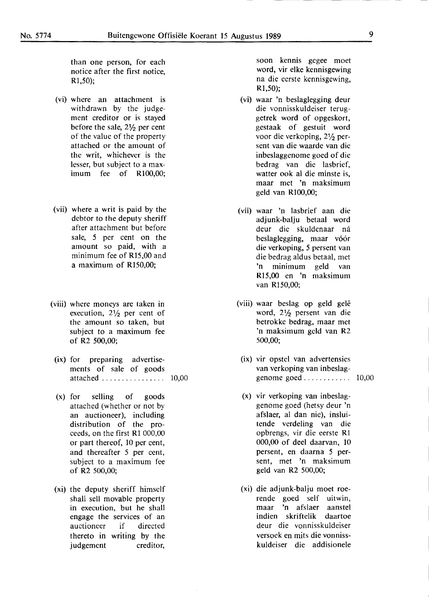than one person. for each notice after the first notice. Rl,50);

- (vi) where an attachment is withdrawn by the judgement creditor or is stayed before the sale. 2½ per cent of the value of the property attached or the amount of the writ, whichever is the lesser, but subject to a maximum fee of **Rl00,00;**
- (vii) where a writ is paid by the debtor to the deputy sheriff after attachment but before sale, *5* per cent on the amount so paid, with a minimum fee of **Rl5,00** and a maximum of Rl50,00;
- (viii) where moneys are taken in execution, 2½ per cent of the amount so taken, but subject to a maximum fee of R2 500,00;
	- (ix) for preparing advertisements of sale of goods attached . . . . . . . . . . . . . . . . 10,00
	- (x) for selling of goods attached (whether or not by an auctioneer), including distribution of the proceeds, on the first **Rl** 000,00 or part thereof, 10 per cent, and thereafter *5* per cent, subject to a maximum fee of R2 500,00;
- **(xi)** the deputy sheriff himself shall sell movable property in execution, but he shall engage the services of an auctioneer if directed thereto in writing by the judgement creditor,

soon kennis gegee moet word, vir elke kennisgewing na die eerste kennisgewing, Rl,50);

- (vi) waar 'n beslaglegging deur die vonnisskuldeiser teruggetrek word of opgeskort, gestaak of gestuit word voor die verkoping, 2½ persent van die waarde van die inbeslaggenome goed of die bedrag van die lasbrief, watter ook al die minste is, maar met 'n maksimum geld van **Rl00,00;**
- (vii) waar 'n lasbrief aan die adjunk-balju betaal word deur die skuldenaar ná beslaglegging, maar vóór die verkoping, *5* persent van die bedrag aldus betaal, met 'n minimum geld van **Rl5,00** en 'n maksimum van R150,00;
- (viii) waar beslag op geld gele word, 2½ persent van die betrokke bedrag, maar met 'n maksimum geld van R2 500,00;
	- (ix) vir opstel van advertensies van verkoping van inbeslaggenome goed............ 10,00
	- (x) vir verkoping van inbeslaggenome goed (hetsy deur 'n afslaer, al dan nie), insluitende verdeling van die opbrengs, vir die eerste RI 000,00 of deel daarvan, 10 persent, en daarna *5* persent, met 'n maksimum geld van R2 500,00;
	- (xi) die adjunk-balju moet roerende goed self uitwin, maar 'n afslaer aanstel indien skriftelik daartoe deur die vonnisskuldeiser versoek en mits die vonnisskuldeiser die addisionele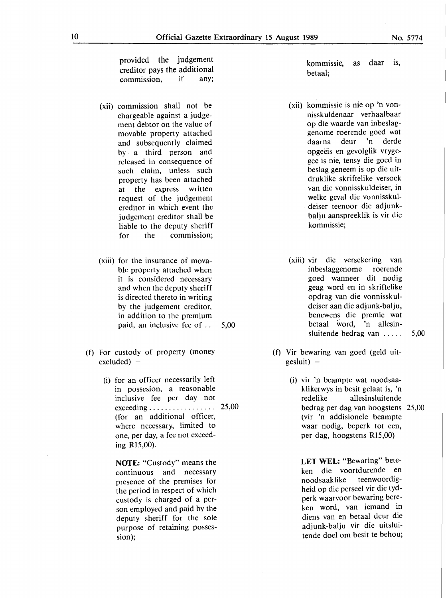provided the judgement creditor pays the additional<br>commission. if any: commission, if

- (xii) commission shall not be chargeable against a judgement debtor on the value of movable property attached and subsequently claimed by , a third person and released in consequence of such claim, unless such property has been attached at the express written request of the judgement creditor in which event the judgement creditor shall be liable to the deputy sheriff for the commission;
- (xiii) for the insurance of movable property attached when it is considered necessary and when the deputy sheriff is directed thereto in writing by the judgement creditor, in addition to the premium paid, an inclusive fee of . . 5,00
- (f) For custody of property (money  $excluded) -$ 
	- (i) for an officer necessarily left in possesion, a reasonable inclusive fee per day not exceeding . . . . . . . . . . . . . . . . . 25,00 (for an additional officer, where necessary, limited to one, per day, a fee not exceeding Rl5,00).

**NOTE:** "Custody" means the continuous and necessary presence of the premises for the period in respect of which custody is charged of a person employed and paid by the deputy sheriff for the sole purpose of retaining possession);

kommissie, as daar is, betaal;

- (xii) kommissie is nie op 'n vonnisskuldenaar verhaalbaar op die waarde van inbeslaggenome roerende goed wat daarna deur 'n derde opgeeis en gevolglik vrygegee is nie, tensy die goed in beslag geneem is op die uitdruklike skriftelike versoek van die vonnisskuldeiser, in welke geval die vonnisskul- . deiser teenoor die adjunkbalju aanspreeklik is vir die kommissie;
- (xiii) vir die versekering van inbeslaggenome roerende goed wanneer dit nodig geag word en in skriftelike opdrag van die vonnisskuldeiser aan die adjunk-balju, benewens die premie wat betaal word, 'n allesinsluitende bedrag van ..... 5,00
- (f) Vir bewaring van goed (geld uit $gesluit) -$ 
	- (i) vir 'n beampte wat noodsaaklikerwys in besit gelaat is, 'n redelike allesinsluitende bedrag per dag van hoogstens 25,00 (vir 'n addisionele beampte waar nodig, beperk tot een, per dag, hoogstens Rl5,00)

**LET WEL:** "Bewaring" beteken die voortdurende en noodsaaklike teenwoordigheid op die perseel vir die tydperk waarvoor bewaring bereken word, van iemand in diens van en betaal deur die adjunk-balju vir die uitsluitende doel om besit te behou;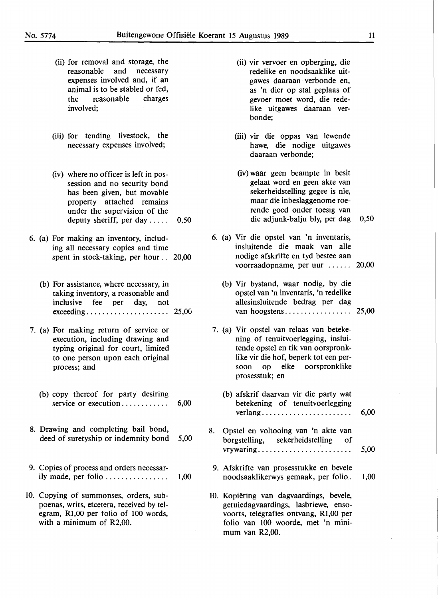- (ii) for removal and storage, the reasonable and necessary expenses involved and, if an animal is to be stabled or fed, the reasonable charges involved;
- (iii) for tending livestock, the necessary expenses involved;
- (iv) where no officer is left in possession and no security bond has been given, but movable property attached remains under the supervision of the deputy sheriff, per day  $\dots$  . 0,50
- 6. (a) For making an inventory, including all necessary copies and time spent in stock-taking, per hour . . 20,00
	- (b) For assistance, where necessary, in taking inventory, a reasonable and inclusive fee per day, not exceeding...... . . . . . . . . . . . . . . . 25,00
- 7. (a) For making return of service or execution, including drawing and typing original for court, limited to one person upon each original process; and
	- (b) copy thereof for party desiring service or execution  $\ldots$  . . . . . . . . . . . 6,00
- 8. Drawing and completing bail bond, deed of suretyship or indemnity bond 5,00
- 9. Copies of process and orders necessarily made, per folio . . . . . . . . . . . . . . . . 1,00
- 10. Copying of summonses, orders, subpoenas, writs, etcetera, received by telegram, Rl,00 per folio of 100 words, with a minimum of R2,00.
- (ii) vir vervoer en opberging, die redelike en noodsaaklike uitgawes daaraan verbonde en, as 'n dier op stal geplaas of gevoer moet word, die rede**like** uitgawes daaraan verbonde;
- (iii) vir die oppas van lewende hawe, die nodige uitgawes daaraan verbonde;
- (iv) waar geen beampte in besit gelaat word en geen akte van sekerheidstelling gegee is nie, maar die inbeslaggenome roerende goed onder toesig van die adjunk-balju bly, per dag 0,50
- 6. (a) Vir die opstel van 'n inventaris, insluitende die maak van alle nodige afskrifte en tyd bestee aan voorraadopname, per uur  $\dots$  20,00
	- (b) Vir bystand, waar nodig, by die opstel van 'n inventaris, 'n redelike allesinsluitende bedrag per dag van hoogstens. . . . . . . . . . . . . . . . . 25,00
- 7. (a) Vir opstel van relaas van betekening of tenuitvoerlegging, insluitende opstel en tik van oorspronklike vir die hof, beperk tot een persoon op elke oorspronklike prosesstuk; en
	- (b) afskrif daarvan vir die party wat betekening of tenuitvoerlegging verlang. . . . . . . . . . . . . . . . . . . . . . . 6,00
- 8. Opstel en voltooing van 'n akte van borgstelling, sekerheidstelling of . " vrywanng. . . . . . . . . . . . . . . . . . . . . . . . 5,00
- 9. Afskrifte van prosesstukke en bevele noodsaaklikerwys gemaak, per folio. 1,00
- 10. Kopiering van dagvaardings, bevele, getuiedagvaardings, lasbriewe, ensovoorts, telegrafies ontvang, Rl,00 per folio van 100 woorde, met 'n minimum van R2,00.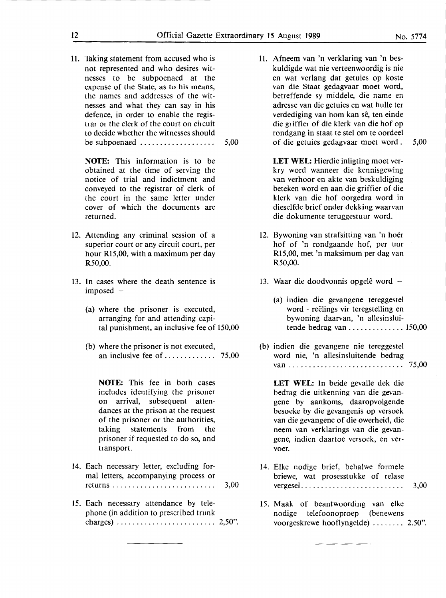11. Taking statement from accused who is not represented and who desires witnesses to be subpoenaed at the expense of the State, as to his means, the names and· addresses of the witnesses and what they can say in his defence, in order to enable the registrar or the clerk of the court on circuit to decide whether the witnesses should be subpoenaed  $\dots \dots \dots \dots \dots \dots \dots$  5,00

**NOTE:** This information is to be obtained at the time of serving the notice of trial and indictment and conveyed to the registrar of clerk of the court in the same letter under cover of which the documents are returned.

- 12. Attending any criminal session of a superior court or any circuit court, per hour Rl5,00, with a maximum per day **R50,00.**
- 13. In cases where the death sentence is imposed -
	- (a) where the prisoner is executed, arranging for and attending capital punishment, an inclusive fee of 150,00
	- (b) where the prisoner is not executed, an inclusive fee of  $\dots \dots \dots \dots$  75,00

**NOTE:** This fee in both cases includes identifying the prisoner on arrival, subsequent attendances at the prison at the request of the prisoner or the authorities, taking statements from the prisoner if requested to do so, and transport.

- 14. Each necessary letter, excluding formal letters, accompanying process or returns . . . . . . . . . . . . . . . . . . . . . . . . . . 3,00
- 15. Each necessary attendance by telephone (in addition to prescribed trunk charges) ......................... 2,50".

11. Afneem van 'n verklaring van 'n beskuldigde wat nie verteenwoordig is nie en wat verlang dat getuies op koste van die Staat gedagvaar moet word, betreffende sy middele, die name en adresse van die getuies en wat hulle ter verdediging van hom kan sê, ten einde die griffier of die klerk van die hof op rondgang in staat te stel om te oordeel of die getuies gedagvaar moet word . 5,00

LET WEL: Hierdie inligting moet verkry word wanneer die kennisgewing van verhoor en akte van beskuldiging beteken word en aan die griffier of die. klerk van die hof oorgedra word in dieselfde brief onder dekking waarvan die dokumente teruggestuur word.

- 12. Bywoning van strafsitting van 'n hoer hof of 'n rondgaande hof, per uur R15,00, met 'n maksimum per dag van **R50,00.**
- 13. Waar die doodvonnis opgelê word  $-$ 
	- (a) indien die gevangene tereggestel word - reëlings vir teregstelling en bywoning daarvan, 'n allesinsluitende bedrag van .............. 150,00
- (b) indien die gevangene nie tereggestel word nie, 'n allesinsluitende bedrag van ............................. 75,00

**LET WEL:** In beide gevalle dek die bedrag die uitkenning van die gevangene by aankoms, daaropvolgende besoeke by die gevangenis op versoek van die gevangene of die owerheid, die neem van verklarings van die gevangene, indien daartoe versoek, en vervoer.

- 14. Elke nodige brief, behalwe formele briewe, wat prosesstukke of relase vergesel.......................... 3,00
- 15. Maak of beantwoording van elke nodige telefoonoproep (benewens voorgeskrewe hooflyngelde) ........ 2.50".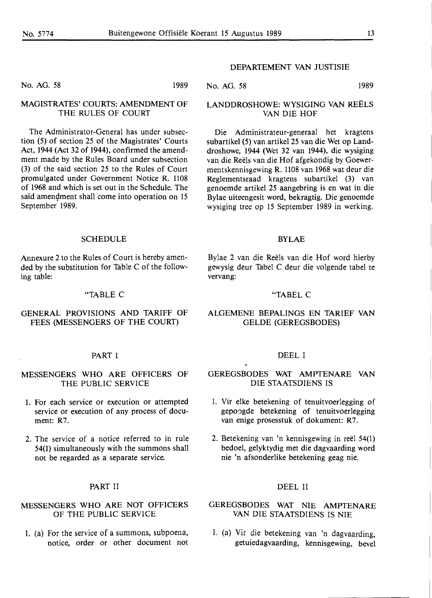No. AG. 58 1989

## MAGISTRATES' COURTS: AMENDMENT OF THE RULES OF COURT

The Administrator-General has under subsection (5) of section 25 of the Magistrates' Courts Act, 1944 (Act 32 of 1944), confirmed the amendment made by the Rules Board under subsection (3) of the said section 25 to the Rules of Court promulgated under Government Notice R. 1108 of 1968 and which is set out in the Schedule. The said amendment shall come into operation on 15 September' 1989.

#### **SCHEDULE**

Annexure 2 to the Rules of Court is hereby amended by the substitution for Table C of the following table:

#### "TABLE C

## **GENERAL PROVISIONS AND TARIFF OF**  FEES (MESSENGERS OF THE COURT)

#### PART I

## MESSENGERS WHO ARE OFFICERS OF THE PUBLIC SERVICE

- 1. For each service or execution or attempted service or execution of any process of document: R7.
- 2. The service of a notice referred to in rule 54(1) simultaneously with the summons shall not be regarded as a separate service.

## **PART** II

## **MESSENGERS WHO ARE NOT OFFICERS OF THE PUBLIC SERVICE**

1. (a) For the service of a summons, subpoena, notice, order or other document not

#### DEPARTEMENT VAN JUSTISIE

No. AG. 58 1989

## **LANDDROSHOWE: WYSIGING VAN REELS VAN DIE HOF**

Die Administrateur-generaal bet kragtens subartikel (5) van artikel 25 van die Wet op Landdroshowe, 1944 (Wet 32 van 1944), die wysiging van die Reëls van die Hof afgekondig by Goewermentskennisgewing R. 1108 van 1968 wat deur die Reglementsraad kragtens subartikel (3) van genoemde artikel 25 aangebring is en wat in die Bylae uiteengesit word, bekragtig. Die genoemde wysiging tree op 15 September 1989 in werking.

#### BYLAE

Bylae 2 van die Reels van die Hof word hierby gewysig deur Tabel C deur die volgende tabel te vervang:

#### "TABEL C

#### **ALGEMENE BEPALINGS EN TARIEF VAN**  GELDE (GEREGSBODES)

#### DEEL I

GEREGSBODES WAT AMPTENARE VAN DIE STAATSDIENS IS

- 1. Vir elke betekening of tenuitvoerlegging of gepoogde betekening of tenuitvoerlegging van enige prosesstuk of dokument: R7.
- 2. Betekening van 'n kennisgewing in reel 54(1) bedoel, gelyktydig met die dagvaarding word nie 'n af sonderlike betekening geag nie.

#### DEEL II

## **GEREGSBODES WAT NIE AMPTENARE VAN DIE STAATSDIENS IS NIE**

1. (a) Vir die betekening van 'n dagvaarding, getuiedagvaarding, kennisgewing, bevel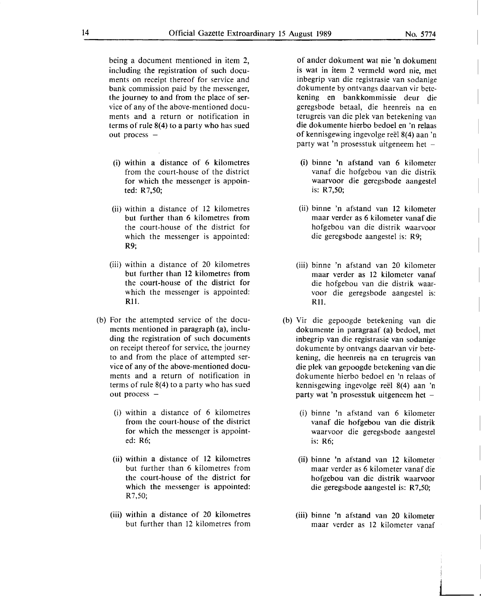being a document mentioned in item 2, including the registration of such documents on receipt thereof for service and bank commission paid by the messenger, the journey to and from the place of service of any of the above-mentioned documents and a return or notification in terms of rule 8(4) to a party who has sued out process -

- (i) within a distance of 6 kilometres from the court-house of the district for which the messenger is appointed: R7,50;
- (ii) within a distance of 12 kilometres but further than 6 kilometres from the court-house of the district for which the messenger is appointed: R9;
- (iii) within a distance of 20 kilometres but further than 12 kilometres from the court-house of the district for which the messenger is appointed: Rll.
- (b) For the attempted service of the documents mentioned in paragraph (a), including the registration of such documents on receipt thereof for service, the journey to and from the place of attempted service of any of the above-mentioned documents and a return of notification in terms of rule 8(4) to a party who has sued out process -
	- (i) within a distance of 6 kilometres from the court-house of the district for which the messenger is appointed: **R6;**
	- (ii) within a distance of 12 kilometres **but further than 6 kilometres from**  the court-house of the district for which the messenger is appointed: **R7,50;**
	- (iii) within a distance of 20 kilometres but further than 12 kilometres from

of ander dokument wat nie 'n dokument is wat in item 2 vermeld word nie, met **inbegrip van die registrasie van sodanige dokumente by ontvangs daarvan vir bete**kening en bankkommissie deur die geregsbode betaal, die heenreis na en **terugreis van die plek van betekening van**  die dokumente hierbo bedoel en 'n relaas of kennisgewing ingevolge reel 8(4) aan 'n party wat 'n prosesstuk uitgeneem het  $-$ 

- (i) binne 'n afstand van 6 kilometer vanaf die hofgebou van die distrik waarvoor die geregsbode aangestel is: R7,50;
- (ii) binne 'n afstand van 12 kilometer maar verder as 6 kilometer vanaf die **hofgebou van die distrik waarvoor**  die geregsbode aangestel is: **R9;**
- (iii) binne 'n af stand van 20 kilometer maar verder as 12 kilometer vanaf die hofgebou van die distrik waarvoor die geregsbode aangestel is: Rll.
- **(b) Vir die gepoogde betekening van die**  dokumente in paragraaf (a) bedoel, met inbegrip van die registrasie van sodanige **dokumente by ontvangs daarvan vir bete**kening, die heenreis na en terugreis van die plek van gepoogde betekening van die dokumente hierbo bedoel en 'n telaas of kennisgewing ingevolge reel **8(4)** aan 'n party wat 'n prosesstuk uitgeneem het  $-$ 
	- (i) binne 'n af stand van 6 kilometer vanaf die hofgebou van die distrik waarvoor die geregsbode aangestel is: R6;
	- (ii) binne 'n afstand van 12 kilometer maar verder as 6 kilometer vanaf die hofgebou van die distrik waarvoor die geregsbode aangestel is: R7,50;
	- (iii) binne 'n afstand van 20 kilometer maar verder as 12 kilometer vanaf

J

 $\overline{\phantom{a}}$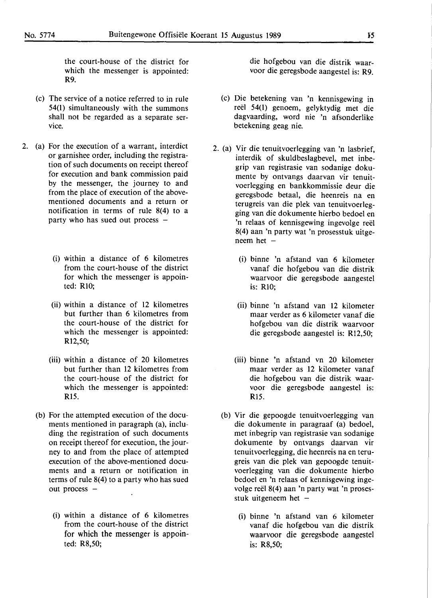the court-house of the district for which the messenger is appointed: **R9.** 

- (c) The service of a notice referred to in rule 54(1) simultaneously with the summons shall not be regarded as a separate service.
- 2. (a) For the execution of a warrant, interdict or garnishee order, including the registration of such documents on receipt thereof for execution and bank commission paid by the messenger, the journey to and from the place of execution of the abovementioned documents and a return or notification in terms of rule 8(4) to a party who has sued out process -
	- (i) within a distance of 6 kilometres from the court-house of the district for which the messenger is appointed: RIO;
	- (ii) within a distance of 12 kilometres but further than 6 kilometres from the court-house of the district for which the messenger is appointed: R12,50;
	- (iii) within a distance of 20 kilometres but further than 12 kilometres from the court-house of the district for which the messenger is appointed: **R15.**
	- (b) For the attempted execution of the documents mentioned in paragraph (a), including the registration of such documents on receipt thereof for execution, the journey to and from the place of attempted execution of the above-mentioned documents and a return or notification in terms of rule 8(4) to a party who has sued out process -
		- (i) within a distance of 6 kilometres from the court-house of the district for which the messenger is appointed: R8,50;

die hof gebou van die distrik waarvoor die geregsbode aangestel is: **R9.** 

- (c) Die betekening van 'n kennisgewing in reël 54(1) genoem, gelyktydig met die dagvaarding, word nie 'n afsonderlike betekening geag nie.
- 2. (a) Vir die tenuitvoerlegging van 'n lasbrief, interdik of skuldbeslagbevel, met inbegrip van registrasie van sodanige dokumente by ontvangs daarvan vir tenuitvoerlegging en bankkommissie deur die geregsbode betaal, die heenreis na en terugreis van die plek van tenuitvoerlegging van die dokumente hierbo bedoel en 'n relaas of kennisgewing ingevolge reel 8(4) aan 'n party wat 'n prosesstuk uitgeneem het  $-$ 
	- (i) binne 'n afstand van 6 kilometer vanaf die hofgebou van die distrik waarvoor die geregsbode aangestel is: RIO;
	- (ii) binne 'n afstand van 12 kilometer maar verder as 6 kilometer vanaf die hof gebou van die distrik waarvoor die geregsbode aangestel is: R12,50;
	- (iii) binne 'n afstand vn 20 kilometer maar verder as 12 kilometer vanaf die hof gebou van die distrik waarvoor die geregsbode aangestel is: **Rl5.**
	- (b) Vir die gepoogde tenuitvoerlegging van die dokumente in paragraaf (a) bedoel, met inbegrip van registrasie van sodanige dokumente by ontvangs daarvan vir tenuitvoerlegging, die heenreis na en terugreis van die plek van gepoogde tenuitvoerlegging van die dokumente hierbo bedoel en 'n relaas of kennisgewing ingevolge reël 8(4) aan 'n party wat 'n prosesstuk uitgeneem het  $-$ 
		- (i) binne 'n afstand van 6 kilometer vanaf die hofgebou van die distrik waarvoor die geregsbode aangestel is: R8,50;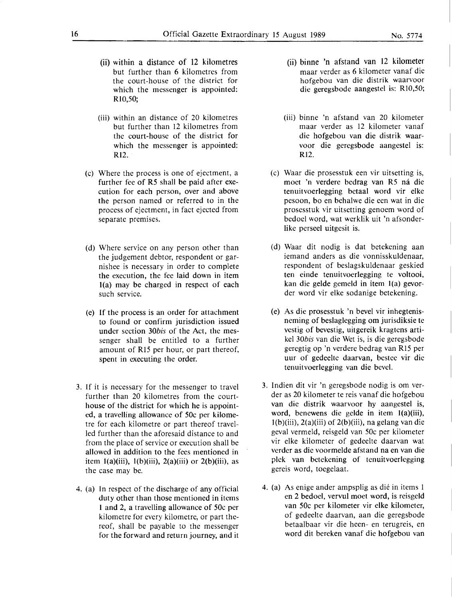- (ii) within a distance of 12 kilometres but further than 6 kilometres from the court-house of the district for which the messenger is appointed: RlO,S0;
- (iii) within an distance of 20 kilometres but further than 12 kilometres from the court-house of the district for which the messenger is appointed: R<sub>12</sub>.
- (c) Where the process is one of ejectment, a further fee of RS shall be paid after execution for each person, over and above the person named or referred to in the process of ejectment, in fact ejected from separate premises.
- (d) Where service on any person other than the judgement debtor, respondent or garnishee is necessary in order to complete the execution, the fee laid down in item l(a) may be charged in respect of each such service.
- (e) If the process is an order for attachment to found or confirm jurisdiction issued under section *30bis* of the Act, the messenger shall be entitled to a further amount of RIS per hour, or part thereof, spent in executing the order.
- 3. If it is necessary for the messenger to travel further than 20 kilometres from the courthouse of the district for which he is appointed, a travelling allowance of S0c per kilometre for each kilometre or part thereof travelled further than the aforesaid distance to and from the place of service or execution shall be allowed in addition to the fees mentioned in item 1(a)(iii), 1(b)(iii), 2(a)(iii) or 2(b)(iii), as the case may be.
- 4. (a) In respect of the discharge of any official duty other than those mentioned in items 1 and 2, a travelling allowance of S0c per kilometre for every kilometre, or part thereof, shall be payable to the messenger for the forward and return journey, and it
- (ii) binne 'n afstand van 12 kilometer maar verder as 6 kilometer vanaf die hof gebou van die distrik waarvoor die geregsbode aangestel is: RI0,50;
- (iii) binne 'n afstand van 20 kilometer maar verder as 12 kilometer vanaf die hofgebou van die distrik waarvoor die geregsbode aangestel is: Rl2.
- (c) Waar die prosesstuk een vir uitsetting is, moet 'n verdere bedrag van R5 ná die tenuitvoerlegging betaal word vir elke pesoon, bo en behalwe die een wat in die prosesstuk vir uitsetting genoem word of bedoel word, wat werklik uit 'n afsonderlike perseel uitgesit is.
- (d) Waar dit nodig is dat betekening aan iemand anders as die vonnisskuldenaar, respondent of beslagskuldenaar geskied ten einde tenuitvoerlegging te voltooi, kan die gelde gemeld in item l(a) gevorder word vir elke sodanige betekening.
- (e) As die prosesstuk 'n bevel vir inhegtenisneming of beslaglegging om jurisdiksie te vestig of bevestig, uitgereik kragtens artikel *30bis* van die Wet is, is die geregsbode geregtig op 'n verdere bedrag van R15 per uur of gedeelte daarvan, bestee vir die tenuitvoerlegging van die bevel.
- 3. Indien dit vir 'n geregsbode nodig is om verder as 20 kilometer te reis vanaf die hofgebou van die distrik waarvoor hy aangestel is, word, benewens die gelde in item l(a)(iii),  $l(b)$ (iii),  $2(a)$ (iii) of  $2(b)$ (iii), na gelang van die geval vermeld, reisgeld van S0c per kilometer vir elke kilometer of gedeelte daarvan wat verder as die voormelde af stand na en van die plek van betekening of tenuitvoerlegging gereis word, toegelaat.
- 4. (a) As enige ander ampsplig as die in items I en 2 bedoel, vervul moet word, is reisgeld van S0c per kilometer vir elke kilometer, of gedeelte daarvan, aan die geregsbode betaalbaar vir die been- en terugreis, en word dit bereken vanaf die hofgebou van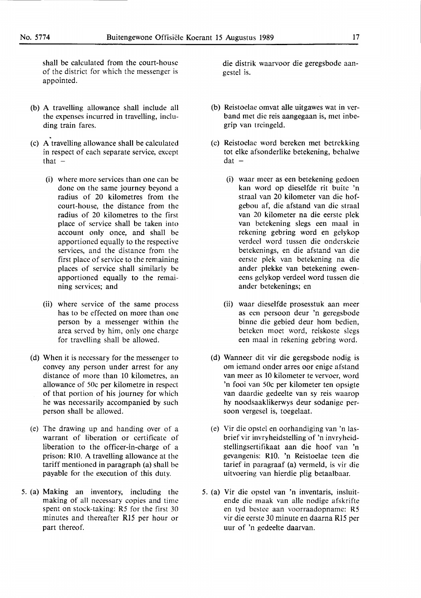shall be calculated from the court-house of the district for which the messenger is appointed.

- (b) A travelling allowance shall include all the expenses incurred in travelling, including train fares.
- . (c) A travelling allowance shall be calculated in respect of each separate service, except that  $-$ 
	- (i) where more services than one can be done on the same journey beyond a radius of 20 kilometres from the court-house, the distance from the radius of 20 kilometres to the first place of service shall be taken into account only once, and shall be apportioned equally to the respective services, and the distance from the first place of service to the remaining places of service shall similarly be apportioned equally to the remaining services; and
	- (ii) where service of the same process has to be effected on more than one person by a messenger within the area served by him, only one charge for travelling shall be allowed.
- (d) When it is necessary for the messenger to convey any person under arrest for any distance of more than 10 kilometres, an allowance of 50c per kilometre in respect of that portion of his journey for which he was necessarily accompanied by such person shall be allowed.
- (e) The drawing up and handing over of a warrant of liberation or certificate of liberation to the officer-in-charge of a prison: **RlO. A** travelling allowance at the tariff mentioned in paragraph (a) shall be payable for the execution of this duty.
- *5.* (a) Making an inventory, including the making of all necessary copies and time spent on stock-taking: R5 for the first 30 minutes and thereafter Rl5 per hour or part thereof.

die distrik waarvoor die geregsbode aangestel is.

- (b) Reistoelae om vat alle uitgawes wat in verb and met die reis aangegaan is, met inbegrip van treingeld.
- (c) Reistoelae word bereken met betrekking tot elke afsonderlike betekening, behalwe  $dat -$ 
	- (i) waar meer as een betekening gedoen kan word op dieselfde rit buite 'n straal van 20 kilometer van die hofgebou af, die afstand van die straal van 20 kilometer na die eerste plek van betekening slegs een maal in rekening gebring word en gelykop verdeel word tussen die onderskeie betekenings, en die afstand van die eerste plek van betekening na die ander plekke van betekening eweneens gelykop verdeel word tussen die ander betekenings; en
	- (ii) waar dieselfde prosesstuk aan meer as een persoon deur 'n geregsbode binne die gebied deur hom bedien, beteken moet word, reiskoste slegs een maal in rekening gebring word.
- (d) Wanneer dit vir die geregsbode nodig is om iemand onder arres oor enige afstand van meer as 10 kilometer te vervoer, word 'n fooi van 50c per kilometer ten opsigte van daardie gedeelte van sy reis waarop hy noodsaaklikerwys deur sodanige persoon vergesel is, toegelaat.
- (e) Vir die opstel en oorhandiging van 'n lasbrief vir invryheidstelling·of 'n invryheidstellingsertifikaat aan die hoof van 'n gevangenis: RIO. 'n Reistoelae teen die tarief in paragraaf (a) vermeld, is vir die uitvoering van hierdie plig betaalbaar.
- *5.* (a) Vir die opstel van 'n inventaris, insluitende die maak van alle nodige afskrifte en tyd bestee aan voorraadopname: R5 vir die eerste 30 minute en daarna Rl5 per uur of 'n gedeelte daarvan.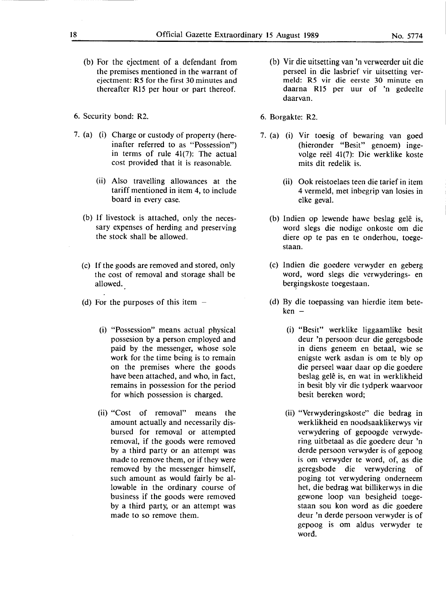- (b) For the ejectment of a defendant from the premises mentioned in the warrant of ejectment: R5 for the first 30 minutes and thereafter R15 per hour or part thereof.
- 6. Security bond: R2.
- 7. (a) (i) Charge or custody of property (hereinafter referred to as "Possession") in terms of rule 41(7): The actual cost provided that it is reasonable.
	- (ii) Also travelling allowances at the tariff mentioned in item 4, to include board in every case.
	- (b) If livestock is attached, only the necessary expenses of herding and preserving the stock shall be allowed.
	- ( c) If the goods are removed and stored, only the cost of removal and storage shall be allowed.
	- (d) For the purposes of this item  $-$ 
		- (i) "Possession" means actual physical possesion by a person employed and paid by the messenger, whose sole work for the time being is to remain on the premises where the goods have been attached, and who, in fact, remains in possession for the period for which possession is charged.
		- (ii) "Cost of removal" means the amount actually and necessarily disbursed for removal or attempted removal, **if the** goods were removed by a third party or an attempt was made to remove them, or if they were removed by the messenger himself, such amount as would fairly be allowable in the ordinary course of business if the goods were removed by a third party, or an attempt was made to so remove them.
- (b) Vir die uitsetting van 'n verweerder uit die perseel in die lasbrief vir uitsetting ver**meld: R5** vir die eerste **30** minute en **daarna** R15 per uur **of 'n** gedeelte daarvan.
- 6. Borgakte: R2.
- 7. (a) (i) Vir toesig of bewaring van goed (hieronder "Besit" genoem) ingevolge reel 41(7): Die werklike koste mits dit redelik is.
	- (ii) Ook reistoelaes teen die tarief in item 4 vermeld, met inbegrip van losies in elke geval.
	- (b) Indien op lewende hawe beslag gelê is, word slegs die nodige onkoste om die diere op te pas en te onderhou, toegestaan.
	- (c) Indien die goedere verwyder en geberg word, word slegs die verwyderings- en bergingskoste toegestaan.
	- (d) By die toepassing van hierdie item bete $ken -$ 
		- (i) "Besit" werklike liggaamlike besit deur 'n persoon deur die geregsbode in diens geneem en betaal, wie se enigste werk asdan is om te bly op die perseel waar daar op die goedere beslag gelê is, en wat in werklikheid in besit bly vir die tydperk waarvoor besit bereken word;
		- (ii) "Verwyderingskoste" die bedrag in werklikheid en noodsaaklikerwys vir verwydering of gepoogde verwydering uitbetaal as die goedere deur 'n derde persoon verwyder is of gepoog is om verwyder te word, of, as die geregsbode die verwydering of poging tot verwydering onderneem het, die bedrag wat billikerwys in die gewone loop van besigheid toegestaan sou kon word as die goedere deur 'n derde persoon verwyder is of gepoog is om aldus verwyder te word.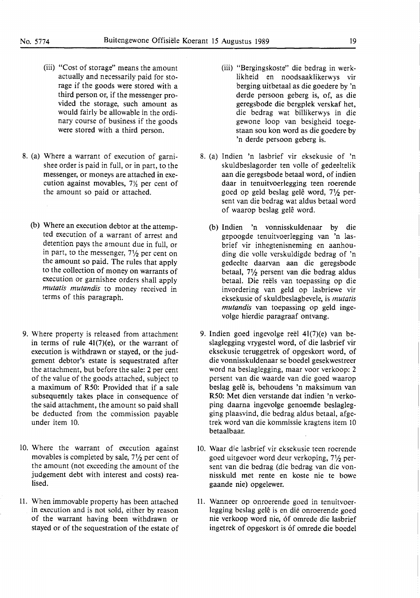- (iii) "Cost of storage" means the amount actually and necessarily paid for storage if the goods were stored with a third person or, if the messenger provided the storage, such amount as would fairly be allowable in the ordinary course of business if the goods were stored with a third person.
- 8. (a) Where a warrant of execution of garnishee order is paid in full, or in part, to the messenger, or moneys are attached in execution against movables, 7½ per cent of the amount so paid or attached.
	- (b) Where an execution debtor at the attempted execution of a warrant of arrest and detention pays the amount due in full, or in part, to the messenger, 7½ per cent on the amount so paid. The rules that apply to the collection of money on warrants of execution or garnishee orders shall apply *mutatis mutandis* to money received in terms of this paragraph.
- 9. Where property is released from attachment in terms of rule 41(7)(e), or the warrant of execution is withdrawn or stayed, or the judgement debtor's estate is sequestrated after the attachment, but before the sale: 2 per cent of the value of the goods attached, subject to a maximum of R50: Provided that if a sale subsequently takes place in consequence of the said attachment, the amount so paid shall be deducted from the commission payable under item 10.
- IO. Where the warrant of execution against movables is completed by sale, 7½ per cent of the amount (not exceeding the amount of the judgement debt with interest and costs) realised.
- 11. When immovable property has been attached in execution and is not sold, either by reason of the warrant having been withdrawn or stayed or of the sequestration of the estate of
- (iii) "Bergingskoste" die bedrag in werklikheid en noodsaaklikerwys vir berging uitbetaal as die goedere by 'n derde persoon geberg is, of, as die geregsbode die bergplek verskaf het, die bedrag wat billikerwys in die gewone loop van besigheid toegestaan sou kon word as die goedere by 'n derde persoon geberg is.
- 8. (a) Indien 'n lasbrief vir eksekusie of 'n skuldbeslagorder ten voile of gedeeltelik aan die geregsbode betaal word, of indien daar in tenuitvoerlegging teen roerende goed op geld beslag gele word, 7½ persent van die bedrag wat aldus betaal word of waarop beslag gele word.
	- (b) Indien 'n vonnisskuldenaar by die gepoogde tenuitvoerlegging van 'n lasbrief vir inhegtenisneming en aanhouding die volle verskuldigde bedrag of 'n gedeelte daarvan aan die geregsbode betaal, 7½ persent van die bedrag aldus betaal. Die reels van toepassing op die invordering van geld op lasbriewe vir eksekusie of skuldbeslagbevele, is *mutatis mutandis* van toepassing op geld ingevolge hierdie paragraaf ontvang.
- 9. Indien goed ingevolge reel 41(7)(e) van beslaglegging vrygestel word, of die lasbrief vir eksekusie teruggetrek of opgeskort word, of die vonnisskuldenaar se boedel gesekwestreer word na beslaglegging, maar voor verkoop: 2 persent van die waarde van die goed waarop beslag gelê is, behoudens 'n maksimum van R50: Met dien verstande dat indien 'n verkoping daarna ingevolge genoemde beslaglegging plaasvind, die bedrag aldus betaal, afgetrek word van die kommissie kragtens item 10 betaalbaar.
- IO. Waar die lasbrief vir eksekusie teen roerende goed uitgevoer word deur verkoping, 7½ persent van die bedrag (die bedrag van die vonnisskuld met rente en koste nie te bowe gaande nie) opgelewer.
- 11. Wanneer op onroerende goed in tenuitvoerlegging beslag gele is en die onroerende goed nie verkoop word nie, 6f omrede die lasbrief ingetrek of opgeskort is 6f omrede die bocdel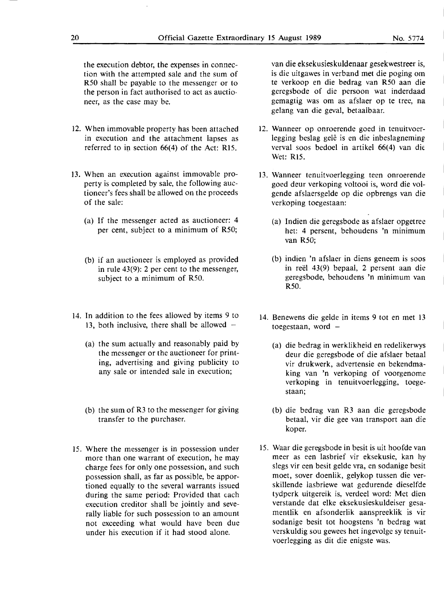the execution debtor, the expenses in connection with the attempted sale and the sum of R50 shall be payable to the messenger or to the person in fact authorised to act as auctioneer, as the case may be.

- 12. When immovable property has been attached . in execution and the attachment lapses as referred to in section  $66(4)$  of the Act: R15.
- 13. When an execution against immovable property is completed by sale, the following auctioneer's fees shall be allowed on the proceeds of the sale:
	- (a) If the messenger acted as auctioneer: 4 per cent, subject to a minimum of R50;
	- (b) if an auctioneer is employed as provided in rule 43(9): 2 per cent to the messenger, subject to a minimum of R50.
- 14. In addition to the fees allowed by items 9 to 13, both inclusive, there shall be allowed  $-$ 
	- (a) the sum actually and reasonably paid by the messenger or the auctioneer for printing, advertising and giving publicity to any sale or intended sale in execution;
	- (b) the sum of R3 to the messenger for giving transfer to the purchaser.
- 15. Where the messenger is in possession under more than one warrant of execution, he may charge fees for only one possession, and such possession shall, as far as possible, be apportioned equally to the several warrants issued during the same period: Provided that each execution creditor shall be jointly and severally liable for such possession to an amount not exceeding what would have been due under his execution if it had stood alone.

van die eksekusieskuldenaar gesekwestreer is, is die uitgawes in verband met die poging om te verkoop en die bedrag van R50 aan die geregsbode of die persoon wat inderdaad gemagtig was om as afslaer op te tree, na gelang van die geval, betaalbaar.

- 12. Wanneer op onroerende goed in tenuitvoerlegging beslag gelê is en die inbeslagneming verval soos bedoel in artikel 66(4) van die Wet: R15.
- 13. Wanneer tenuitvoerlegging teen onroerende goed deur verkoping voltooi is, word die volgende afslaersgelde op die opbrengs van die verkoping toegestaan:
	- (a) Indien die geregsbode as afslaer opgetree het: 4 persent, behoudens 'n minimum van R50;
	- (b) indien 'n afslaer in diens geneem is soos in reel 43(9) bepaal, 2 persent aan die geregsbode, behoudens 'n minimum van R50.
- 14. Benewens die gelde in items 9 tot en met 13 toegestaan, word  $-$ 
	- (a) die bedrag in werklikheid en redelikerwys deur die geregsbode of die afslaer betaal vir drukwerk, advertensie en bekendmaking van 'n verkoping of voorgenome verkoping in tenuitvoerlegging, toegestaan;
	- (b) die bedrag van R3 aan die geregsbode betaal, vir die gee van transport aan die koper.
- 15. Waar die geregsbode in besit is uit hoofde van meer as een lasbrief vir eksekusie, kan hy slegs vir een besit gelde vra, en sodanige besit moet, sover doenlik, gelykop tussen die verskillende lasbriewe wat gedurende dieselfde tydperk uitgereik is, verdeel word: Met dien verstande dat elke eksekusieskuldeiser gesamentlik en afsonderlik aanspreeklik is vir sodanige besit tot hoogstens 'n bedrag wat verskuldig sou gewees het ingevolge sy tenuitvoerlegging as dit die enigste was.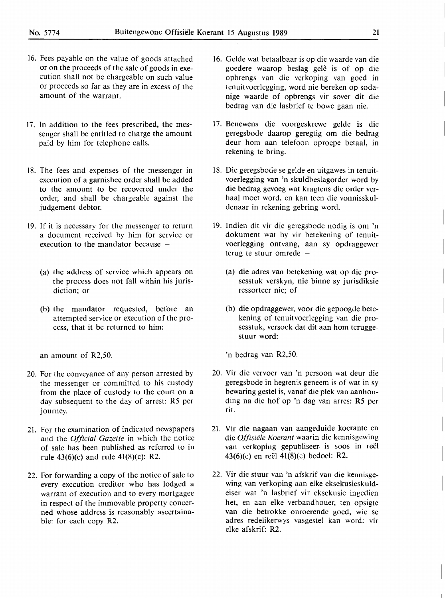- 16. Fees payable on the value of goods attached or on the proceeds of the sale of goods in execution shall not be chargeable on such value or proceeds so far as they are in excess of the amount of the warrant.
- 17. In addition to the fees prescribed, the messenger shall be entitled to charge the amount paid by him for telephone calls.
- 18. The fees and expenses of the messenger in execution of a garnishee order shall be added to the amount to be recovered under the order, and shall be chargeable against the judgement debtor.
- 19. If it is necessary for the messenger to return a document received by him for service or execution to the mandator because  $-$ 
	- (a) the address of service which appears on the process does not fall within his jurisdiction; or
	- (b) the mandator requested, before an **attempted service or execution of the pro**cess, that it be returned to him:

an amount of R2,50.

- 20. For the conveyance of any person arrested by the messenger or committed to his custody from the place of custody to the court on a day subsequent to the day of arrest: RS per journey.
- 21. For the examination of indicated newspapers and the *Official Gazette* in which the notice of sale has been published as referred to in rule 43(6)(c) and rule 41(8)(c): R2.
- 22. For forwarding a copy of the notice of sale to every execution creditor who has lodged a warrant of execution and to every mortgagee in respect of the immovable property concerned whose address is reasonably ascertainable: for each copy R2.
- 16. Gelde wat betaalbaar is op die waarde van die goedere waarop beslag gelê is of op die opbrengs van die verkoping van goed in tenuitvoerlegging, word nie bereken op sodanige waarde of opbrengs vir sover dit die bedrag van die lasbrief te bowe gaan nie.
- 17. Benewens die voorgeskrewe gelde is die geregsbode daarop geregtig om die bedrag deur horn aan telefoon oproepe betaal, in rekening te bring.
- 18. Die geregsbode se gelde en uitgawes in tenuitvoerlegging van 'n skuldbeslagorder word by die bedrag gevoeg wat kragtens die order verhaal moet word, en kan teen die vonnisskuldenaar in rekening gebring word.
- 19. Indien dit vir die geregsbode nodig is om 'n dokument wat hy vir betekening of tenuitvoerlegging ontvang, aan sy opdraggewer terug te stuur omrede  $-$ 
	- (a) die adres van betekening wat op die prosesstuk verskyn, nie binne sy jurisdiksie **ressorteer nie; of**
	- (b) die opdraggewer, voor die gepoogde bete**kening of tenuitvoerlegging van die pro**sesstuk, versoek dat dit aan hom teruggestuur word:

**'n bedrag van R2,50.** 

- **20. Vir** die **vervoer van 'n persoon wat deur die geregsbode** in **hegtenis geneem** is **of wat** in sy bewaring gestel is, vanaf die plek van aanhou**ding na die** hof **op 'n dag van arres: RS per rit.**
- 21. Vir die nagaan van aangeduide koerante en die *Offisiele Koerant* **waarin die kennisgewing**  van verkoping gepubliseer is soos in reel 43(6)(c) en reel 41(8)(c) bedoel: R2.
- 22. Vir die stuur van 'n afskrif van die kennisgewing van verkoping aan elke eksekusieskuldeiser wat 'n lasbrief vir eksekusie ingedien het, en aan elke verbandhouer, ten opsigte van die betrokke onroerende goed, wie se adres redelikerwys vasgestel kan word: vir elke afskrif: R2.